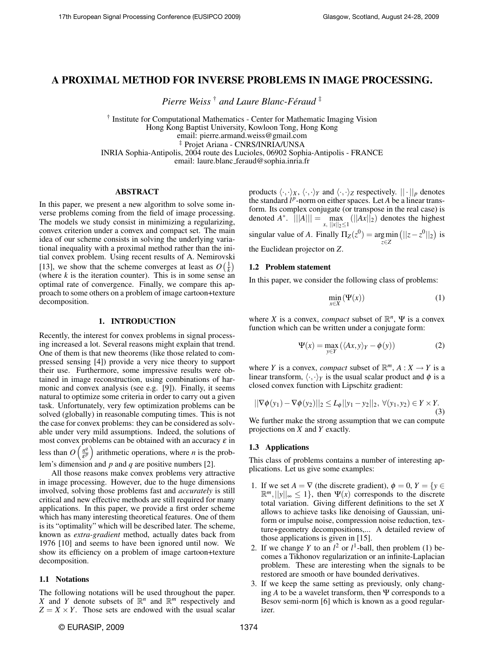# A PROXIMAL METHOD FOR INVERSE PROBLEMS IN IMAGE PROCESSING.

*Pierre Weiss* † *and Laure Blanc-Feraud ´* ‡

† Institute for Computational Mathematics - Center for Mathematic Imaging Vision Hong Kong Baptist University, Kowloon Tong, Hong Kong email: pierre.armand.weiss@gmail.com ‡ Projet Ariana - CNRS/INRIA/UNSA INRIA Sophia-Antipolis, 2004 route des Lucioles, 06902 Sophia-Antipolis - FRANCE

email: laure.blanc feraud@sophia.inria.fr

## ABSTRACT

In this paper, we present a new algorithm to solve some inverse problems coming from the field of image processing. The models we study consist in minimizing a regularizing, convex criterion under a convex and compact set. The main idea of our scheme consists in solving the underlying variational inequality with a proximal method rather than the initial convex problem. Using recent results of A. Nemirovski [13], we show that the scheme converges at least as  $O\left(\frac{1}{k}\right)$ (where  $k$  is the iteration counter). This is in some sense an optimal rate of convergence. Finally, we compare this approach to some others on a problem of image cartoon+texture decomposition.

### 1. INTRODUCTION

Recently, the interest for convex problems in signal processing increased a lot. Several reasons might explain that trend. One of them is that new theorems (like those related to compressed sensing [4]) provide a very nice theory to support their use. Furthermore, some impressive results were obtained in image reconstruction, using combinations of harmonic and convex analysis (see e.g. [9]). Finally, it seems natural to optimize some criteria in order to carry out a given task. Unfortunately, very few optimization problems can be solved (globally) in reasonable computing times. This is not the case for convex problems: they can be considered as solvable under very mild assumptions. Indeed, the solutions of most convex problems can be obtained with an accuracy  $\varepsilon$  in less than  $O\left(\frac{n^q}{\epsilon^p}\right)$  $\frac{n^q}{\epsilon^p}$  arithmetic operations, where *n* is the problem's dimension and *p* and *q* are positive numbers [2].

All those reasons make convex problems very attractive in image processing. However, due to the huge dimensions involved, solving those problems fast and *accurately* is still critical and new effective methods are still required for many applications. In this paper, we provide a first order scheme which has many interesting theoretical features. One of them is its "optimality" which will be described later. The scheme, known as *extra-gradient* method, actually dates back from 1976 [10] and seems to have been ignored until now. We show its efficiency on a problem of image cartoon+texture decomposition.

## 1.1 Notations

The following notations will be used throughout the paper. *X* and *Y* denote subsets of  $\mathbb{R}^n$  and  $\mathbb{R}^m$  respectively and  $Z = X \times Y$ . Those sets are endowed with the usual scalar products  $\langle \cdot, \cdot \rangle_X$ ,  $\langle \cdot, \cdot \rangle_Y$  and  $\langle \cdot, \cdot \rangle_Z$  respectively.  $|| \cdot ||_p$  denotes the standard  $l^p$ -norm on either spaces. Let  $A$  be a linear transform. Its complex conjugate (or transpose in the real case) is denoted *A*<sup>\*</sup>.  $\left|\n\begin{array}{c}\n\end{array}\n\right|\n\left|\n\begin{array}{c}\nA\n\end{array}\n\right|\n= \max_{x, \ |\|x\|_2 \le 1} (||Ax||_2)$  denotes the highest singular value of *A*. Finally  $\Pi_Z(z^0) = \underset{z \in Z}{\arg \min}$  $(||z-z^0||_2)$  is the Euclidean projector on *Z*.

## 1.2 Problem statement

In this paper, we consider the following class of problems:

$$
\min_{x \in X} (\Psi(x)) \tag{1}
$$

where *X* is a convex, *compact* subset of  $\mathbb{R}^n$ ,  $\Psi$  is a convex function which can be written under a conjugate form:

$$
\Psi(x) = \max_{y \in Y} (\langle Ax, y \rangle_Y - \phi(y))
$$
 (2)

where *Y* is a convex, *compact* subset of  $\mathbb{R}^m$ ,  $A: X \to Y$  is a linear transform,  $\langle \cdot, \cdot \rangle_Y$  is the usual scalar product and  $\phi$  is a closed convex function with Lipschitz gradient:

$$
||\nabla \phi(y_1) - \nabla \phi(y_2)||_2 \le L_{\phi}||y_1 - y_2||_2, \ \forall (y_1, y_2) \in Y \times Y. \tag{3}
$$

We further make the strong assumption that we can compute projections on *X* and *Y* exactly.

## 1.3 Applications

This class of problems contains a number of interesting applications. Let us give some examples:

- 1. If we set  $A = \nabla$  (the discrete gradient),  $\phi = 0$ ,  $Y = \{y \in$  $\mathbb{R}^m, ||y||_{\infty} \le 1$ , then  $\Psi(x)$  corresponds to the discrete total variation. Giving different definitions to the set *X* allows to achieve tasks like denoising of Gaussian, uniform or impulse noise, compression noise reduction, texture+geometry decompositions,... A detailed review of those applications is given in [15].
- 2. If we change *Y* to an  $l^2$  or  $l^1$ -ball, then problem (1) becomes a Tikhonov regularization or an infinite-Laplacian problem. These are interesting when the signals to be restored are smooth or have bounded derivatives.
- 3. If we keep the same setting as previously, only changing  $A$  to be a wavelet transform, then  $\Psi$  corresponds to a Besov semi-norm [6] which is known as a good regularizer.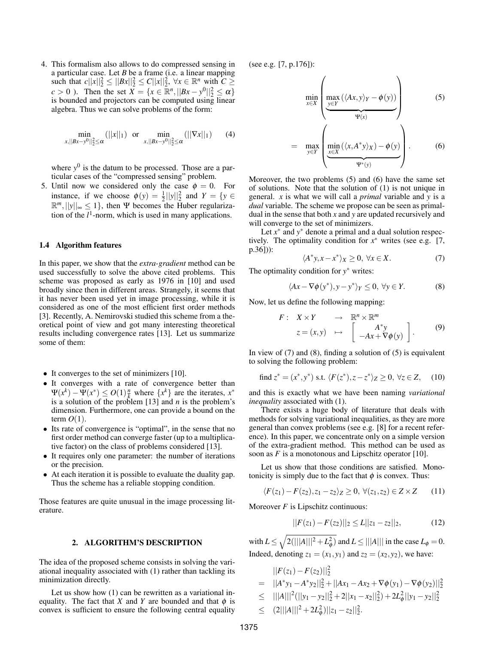4. This formalism also allows to do compressed sensing in a particular case. Let *B* be a frame (i.e. a linear mapping such that  $c||x||_2^2 \le ||Bx||_2^2 \le C||x||_2^2$ ,  $\forall x \in \mathbb{R}^n$  with  $C \ge$ *c* > 0 ). Then the set  $X = \{x \in \mathbb{R}^n, ||Bx - y^0||_2^2 \le \alpha\}$ is bounded and projectors can be computed using linear algebra. Thus we can solve problems of the form:

$$
\min_{x,||Bx-y^0||_2^2 \le \alpha} (||x||_1) \text{ or } \min_{x,||Bx-y^0||_2^2 \le \alpha} (||\nabla x||_1) \qquad (4)
$$

where  $y^0$  is the datum to be processed. Those are a particular cases of the "compressed sensing" problem.

5. Until now we considered only the case  $\phi = 0$ . For instance, if we choose  $\phi(y) = \frac{1}{2}||y||_2^2$  and  $Y = \{y \in$  $\mathbb{R}^m$ ,  $||y||_{\infty} \leq 1$ , then Ψ becomes the Huber regularization of the  $l<sup>1</sup>$ -norm, which is used in many applications.

## 1.4 Algorithm features

In this paper, we show that the *extra-gradient* method can be used successfully to solve the above cited problems. This scheme was proposed as early as 1976 in [10] and used broadly since then in different areas. Strangely, it seems that it has never been used yet in image processing, while it is considered as one of the most efficient first order methods [3]. Recently, A. Nemirovski studied this scheme from a theoretical point of view and got many interesting theoretical results including convergence rates [13]. Let us summarize some of them:

- It converges to the set of minimizers [10].
- It converges with a rate of convergence better than  $\Psi(x^k) - \Psi(x^*) \leq O(1) \frac{n}{k}$  where  $\{x^k\}$  are the iterates,  $x^*$ is a solution of the problem [13] and *n* is the problem's dimension. Furthermore, one can provide a bound on the term  $O(1)$ .
- Its rate of convergence is "optimal", in the sense that no first order method can converge faster (up to a multiplicative factor) on the class of problems considered [13].
- It requires only one parameter: the number of iterations or the precision.
- At each iteration it is possible to evaluate the duality gap. Thus the scheme has a reliable stopping condition.

Those features are quite unusual in the image processing literature.

## 2. ALGORITHM'S DESCRIPTION

The idea of the proposed scheme consists in solving the variational inequality associated with (1) rather than tackling its minimization directly.

Let us show how (1) can be rewritten as a variational inequality. The fact that *X* and *Y* are bounded and that  $\phi$  is convex is sufficient to ensure the following central equality (see e.g. [7, p.176]):

$$
\min_{x \in X} \left( \underbrace{\max_{y \in Y} (\langle Ax, y \rangle_Y - \phi(y))}_{\Psi(x)} \right) \tag{5}
$$

$$
= \max_{y \in Y} \left( \underbrace{\min_{x \in X} (\langle x, A^* y \rangle_X) - \phi(y)}_{\Psi^*(y)} \right). \tag{6}
$$

Moreover, the two problems (5) and (6) have the same set of solutions. Note that the solution of (1) is not unique in general. *x* is what we will call a *primal* variable and *y* is a *dual* variable. The scheme we propose can be seen as primaldual in the sense that both *x* and *y* are updated recursively and will converge to the set of minimizers.

Let  $x^*$  and  $y^*$  denote a primal and a dual solution respectively. The optimality condition for  $x^*$  writes (see e.g. [7, p.36])):

$$
\langle A^*y, x - x^* \rangle_X \ge 0, \ \forall x \in X. \tag{7}
$$

The optimality condition for *y* <sup>∗</sup> writes:

$$
\langle Ax - \nabla \phi(y^*), y - y^* \rangle_Y \le 0, \ \forall y \in Y. \tag{8}
$$

Now, let us define the following mapping:

$$
F: X \times Y \longrightarrow \mathbb{R}^n \times \mathbb{R}^m
$$
  

$$
z = (x, y) \longrightarrow \begin{bmatrix} A^*y \\ -Ax + \nabla \phi(y) \end{bmatrix}.
$$
 (9)

In view of  $(7)$  and  $(8)$ , finding a solution of  $(5)$  is equivalent to solving the following problem:

find 
$$
z^* = (x^*, y^*)
$$
 s.t.  $\langle F(z^*), z - z^* \rangle_Z \ge 0, \forall z \in Z,$  (10)

and this is exactly what we have been naming *variational inequality* associated with (1).

There exists a huge body of literature that deals with methods for solving variational inequalities, as they are more general than convex problems (see e.g. [8] for a recent reference). In this paper, we concentrate only on a simple version of the extra-gradient method. This method can be used as soon as *F* is a monotonous and Lipschitz operator [10].

Let us show that those conditions are satisfied. Monotonicity is simply due to the fact that  $\phi$  is convex. Thus:

$$
\langle F(z_1) - F(z_2), z_1 - z_2 \rangle_Z \ge 0, \ \forall (z_1, z_2) \in Z \times Z \qquad (11)
$$

Moreover 
$$
F
$$
 is Lipschitz continuous:

$$
||F(z1) - F(z2)||_2 \le L||z1 - z2||_2,
$$
 (12)

with  $L \le \sqrt{2(|||A|||^2 + L_{\phi}^2)}$  and  $L \le |||A|||$  in the case  $L_{\phi} = 0$ . Indeed, denoting  $z_1 = (x_1, y_1)$  and  $z_2 = (x_2, y_2)$ , we have:

$$
||F(z_1) - F(z_2)||_2^2
$$
  
=  $||A^*y_1 - A^*y_2||_2^2 + ||Ax_1 - Ax_2 + \nabla \phi(y_1) - \nabla \phi(y_2)||_2^2$   

$$
\leq |||A|||^2 (||y_1 - y_2||_2^2 + 2||x_1 - x_2||_2^2) + 2L_{\phi}^2 ||y_1 - y_2||_2^2
$$
  

$$
\leq (2|||A|||^2 + 2L_{\phi}^2) ||z_1 - z_2||_2^2.
$$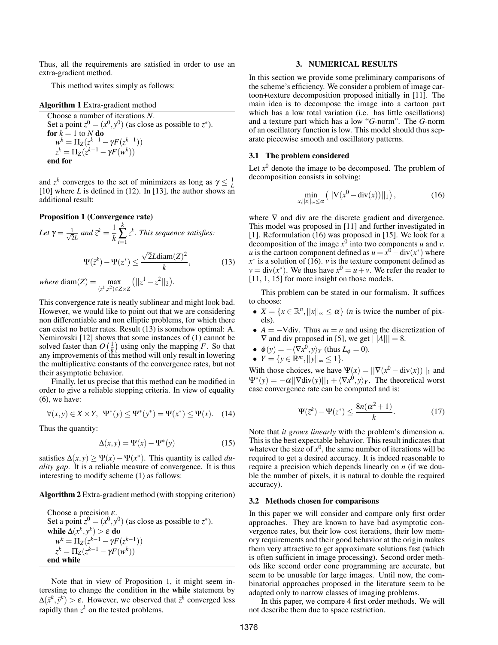Thus, all the requirements are satisfied in order to use an extra-gradient method.

This method writes simply as follows:

| <b>Algorithm 1</b> Extra-gradient method                         |
|------------------------------------------------------------------|
| Choose a number of iterations $N$ .                              |
| Set a point $z^0 = (x^0, y^0)$ (as close as possible to $z^*$ ). |
| for $k = 1$ to N do                                              |
| $w^{k} = \Pi_{Z}(z^{k-1} - \gamma F(z^{k-1}))$                   |
| $z^{k} = \Pi_{Z}(z^{k-1} - \gamma F(w^{k}))$                     |
| end for                                                          |

and  $z^k$  converges to the set of minimizers as long as  $\gamma \leq \frac{1}{L}$ [10] where *L* is defined in (12). In [13], the author shows an additional result:

### Proposition 1 (Convergence rate)

Let 
$$
\gamma = \frac{1}{\sqrt{2}L}
$$
 and  $\bar{z}^k = \frac{1}{k} \sum_{i=1}^k z^k$ . This sequence satisfies:  
\n
$$
\Psi(\bar{z}^k) - \Psi(z^*) \le \frac{\sqrt{2}L \operatorname{diam}(Z)^2}{k},
$$
\n(13)  
\nwhere  $\operatorname{diam}(Z) = \max(||z^1 - z^2||_2)$ .

 $where \, diam(Z) = \max_{(z^1, z^2) \in Z \times Z}$  $(||z^1 - z^2||_2)$ 

This convergence rate is neatly sublinear and might look bad. However, we would like to point out that we are considering non differentiable and non elliptic problems, for which there can exist no better rates. Result (13) is somehow optimal: A. Nemirovski [12] shows that some instances of (1) cannot be solved faster than  $O\left(\frac{1}{k}\right)$  using only the mapping *F*. So that any improvements of this method will only result in lowering the multiplicative constants of the convergence rates, but not their asymptotic behavior.

Finally, let us precise that this method can be modified in order to give a reliable stopping criteria. In view of equality  $(6)$ , we have:

$$
\forall (x, y) \in X \times Y, \ \Psi^*(y) \le \Psi^*(y^*) = \Psi(x^*) \le \Psi(x). \tag{14}
$$

Thus the quantity:

$$
\Delta(x, y) = \Psi(x) - \Psi^*(y) \tag{15}
$$

satisfies  $\Delta(x, y) \ge \Psi(x) - \Psi(x^*)$ . This quantity is called *duality gap*. It is a reliable measure of convergence. It is thus interesting to modify scheme (1) as follows:

Algorithm 2 Extra-gradient method (with stopping criterion)

Choose a precision  $\varepsilon$ . Set a point  $z^0 = (x^0, y^0)$  (as close as possible to  $z^*$ ). while  $\Delta(x^k, y^k) > \varepsilon$  do  $w^k = \Pi_Z(z^{k-1} - \gamma F(z^{k-1}))$  $z^k = \Pi_Z(z^{k-1} - \gamma F(w^k))$ end while

Note that in view of Proposition 1, it might seem interesting to change the condition in the while statement by  $\Delta(\vec{x}^k, \vec{y}^k) > \varepsilon$ . However, we observed that  $\vec{z}^k$  converged less rapidly than  $z^k$  on the tested problems.

#### 3. NUMERICAL RESULTS

In this section we provide some preliminary comparisons of the scheme's efficiency. We consider a problem of image cartoon+texture decomposition proposed initially in [11]. The main idea is to decompose the image into a cartoon part which has a low total variation (i.e. has little oscillations) and a texture part which has a low "*G*-norm". The *G*-norm of an oscillatory function is low. This model should thus separate piecewise smooth and oscillatory patterns.

### 3.1 The problem considered

Let  $x^0$  denote the image to be decomposed. The problem of decomposition consists in solving:

$$
\min_{x, ||x||_{\infty} \le \alpha} (||\nabla (x^0 - \text{div}(x))||_1), \tag{16}
$$

where  $\nabla$  and div are the discrete gradient and divergence. This model was proposed in [11] and further investigated in [1]. Reformulation (16) was proposed in [15]. We look for a decomposition of the image  $\dot{x}^0$  into two components *u* and *v*. *u* is the cartoon component defined as  $u = x^0 - div(x^*)$  where  $x^*$  is a solution of (16). *v* is the texture component defined as  $v = \text{div}(x^*)$ . We thus have  $x^0 = u + v$ . We refer the reader to [11, 1, 15] for more insight on those models.

This problem can be stated in our formalism. It suffices to choose:

- $X = \{x \in \mathbb{R}^n, ||x||_{\infty} \le \alpha\}$  (*n* is twice the number of pixels).
- $A = -\nabla \text{div}$ . Thus  $m = n$  and using the discretization of  $\nabla$  and div proposed in [5], we get  $|||A||| = 8$ .
- $\phi(y) = -\langle \nabla x^0, y \rangle_Y$  (thus  $L_\phi = 0$ ).

$$
\bullet \ \ Y = \{ y \in \mathbb{R}^m, ||y||_{\infty} \leq 1 \}.
$$

With those choices, we have  $\Psi(x) = ||\nabla(x^0 - \text{div}(x))||_1$  and  $\Psi^*(y) = -\alpha ||\nabla \text{div}(y)||_1 + \langle \nabla x^0, y \rangle_Y$ . The theoretical worst case convergence rate can be computed and is:

$$
\Psi(\bar{z}^k) - \Psi(z^*) \le \frac{8n(\alpha^2 + 1)}{k}.\tag{17}
$$

Note that *it grows linearly* with the problem's dimension *n*. This is the best expectable behavior. This result indicates that whatever the size of  $x^0$ , the same number of iterations will be required to get a desired accuracy. It is indeed reasonable to require a precision which depends linearly on *n* (if we double the number of pixels, it is natural to double the required accuracy).

## 3.2 Methods chosen for comparisons

In this paper we will consider and compare only first order approaches. They are known to have bad asymptotic convergence rates, but their low cost iterations, their low memory requirements and their good behavior at the origin makes them very attractive to get approximate solutions fast (which is often sufficient in image processing). Second order methods like second order cone programming are accurate, but seem to be unusable for large images. Until now, the combinatorial approaches proposed in the literature seem to be adapted only to narrow classes of imaging problems.

In this paper, we compare 4 first order methods. We will not describe them due to space restriction.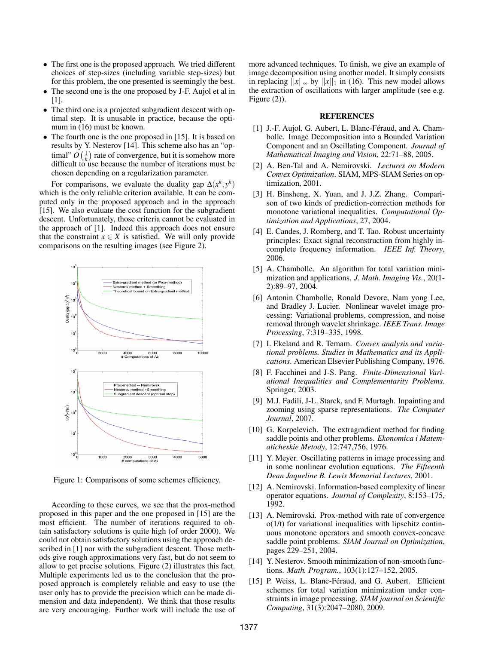- The first one is the proposed approach. We tried different choices of step-sizes (including variable step-sizes) but for this problem, the one presented is seemingly the best.
- The second one is the one proposed by J-F. Aujol et al in [1].
- The third one is a projected subgradient descent with optimal step. It is unusable in practice, because the optimum in (16) must be known.
- The fourth one is the one proposed in [15]. It is based on results by Y. Nesterov [14]. This scheme also has an "optimal"  $O\left(\frac{1}{k}\right)$  rate of convergence, but it is somehow more difficult to use because the number of iterations must be chosen depending on a regularization parameter.

For comparisons, we evaluate the duality gap  $\Delta(x^k, y^k)$ which is the only reliable criterion available. It can be computed only in the proposed approach and in the approach [15]. We also evaluate the cost function for the subgradient descent. Unfortunately, those criteria cannot be evaluated in the approach of [1]. Indeed this approach does not ensure that the constraint  $x \in X$  is satisfied. We will only provide comparisons on the resulting images (see Figure 2).



Figure 1: Comparisons of some schemes efficiency.

According to these curves, we see that the prox-method proposed in this paper and the one proposed in [15] are the most efficient. The number of iterations required to obtain satisfactory solutions is quite high (of order 2000). We could not obtain satisfactory solutions using the approach described in [1] nor with the subgradient descent. Those methods give rough approximations very fast, but do not seem to allow to get precise solutions. Figure (2) illustrates this fact. Multiple experiments led us to the conclusion that the proposed approach is completely reliable and easy to use (the user only has to provide the precision which can be made dimension and data independent). We think that those results are very encouraging. Further work will include the use of more advanced techniques. To finish, we give an example of image decomposition using another model. It simply consists in replacing  $||x||_{\infty}$  by  $||x||_1$  in (16). This new model allows the extraction of oscillations with larger amplitude (see e.g. Figure  $(2)$ ).

## REFERENCES

- [1] J.-F. Aujol, G. Aubert, L. Blanc-Féraud, and A. Chambolle. Image Decomposition into a Bounded Variation Component and an Oscillating Component. *Journal of Mathematical Imaging and Vision*, 22:71–88, 2005.
- [2] A. Ben-Tal and A. Nemirovski. *Lectures on Modern Convex Optimization*. SIAM, MPS-SIAM Series on optimization, 2001.
- [3] H. Binsheng, X. Yuan, and J. J.Z. Zhang. Comparison of two kinds of prediction-correction methods for monotone variational inequalities. *Computational Optimization and Applications*, 27, 2004.
- [4] E. Candes, J. Romberg, and T. Tao. Robust uncertainty principles: Exact signal reconstruction from highly incomplete frequency information. *IEEE Inf. Theory*, 2006.
- [5] A. Chambolle. An algorithm for total variation minimization and applications. *J. Math. Imaging Vis.*, 20(1- 2):89–97, 2004.
- [6] Antonin Chambolle, Ronald Devore, Nam yong Lee, and Bradley J. Lucier. Nonlinear wavelet image processing: Variational problems, compression, and noise removal through wavelet shrinkage. *IEEE Trans. Image Processing*, 7:319–335, 1998.
- [7] I. Ekeland and R. Temam. *Convex analysis and variational problems. Studies in Mathematics and its Applications*. American Elsevier Publishing Company, 1976.
- [8] F. Facchinei and J-S. Pang. *Finite-Dimensional Variational Inequalities and Complementarity Problems*. Springer, 2003.
- [9] M.J. Fadili, J-L. Starck, and F. Murtagh. Inpainting and zooming using sparse representations. *The Computer Journal*, 2007.
- [10] G. Korpelevich. The extragradient method for finding saddle points and other problems. *Ekonomica i Matematicheskie Metody*, 12:747,756, 1976.
- [11] Y. Meyer. Oscillating patterns in image processing and in some nonlinear evolution equations. *The Fifteenth Dean Jaqueline B. Lewis Memorial Lectures*, 2001.
- [12] A. Nemirovski. Information-based complexity of linear operator equations. *Journal of Complexity*, 8:153–175, 1992.
- [13] A. Nemirovski. Prox-method with rate of convergence  $o(1/t)$  for variational inequalities with lipschitz continuous monotone operators and smooth convex-concave saddle point problems. *SIAM Journal on Optimization*, pages 229–251, 2004.
- [14] Y. Nesterov. Smooth minimization of non-smooth functions. *Math. Program.*, 103(1):127–152, 2005.
- [15] P. Weiss, L. Blanc-Féraud, and G. Aubert. Efficient schemes for total variation minimization under constraints in image processing. *SIAM journal on Scientific Computing*, 31(3):2047–2080, 2009.